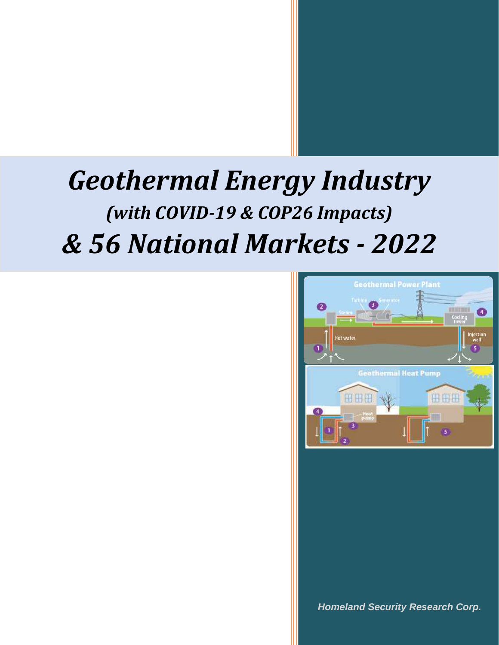

*Homeland Security Research Corp.*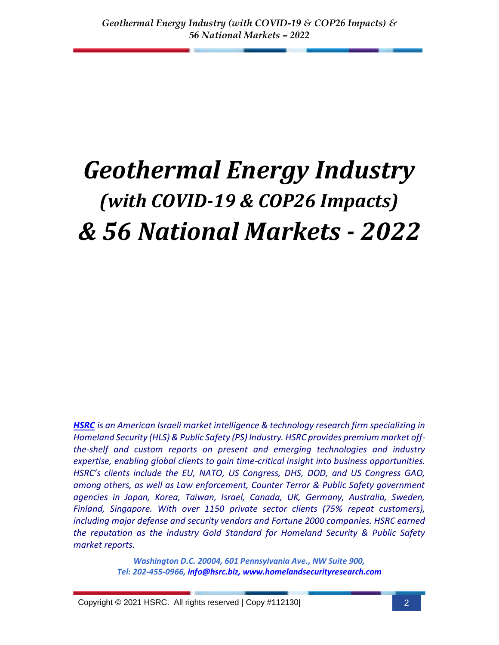*[HSRC](http://www.homelandsecurityresearch.com/) is an American Israeli market intelligence & technology research firm specializing in Homeland Security (HLS) & Public Safety (PS) Industry. HSRC provides premium market offthe-shelf and custom reports on present and emerging technologies and industry expertise, enabling global clients to gain time-critical insight into business opportunities. HSRC's clients include the EU, NATO, US Congress, DHS, DOD, and US Congress GAO, among others, as well as Law enforcement, Counter Terror & Public Safety government agencies in Japan, Korea, Taiwan, Israel, Canada, UK, Germany, Australia, Sweden, Finland, Singapore. With over 1150 private sector clients (75% repeat customers), including major defense and security vendors and Fortune 2000 companies. HSRC earned the reputation as the industry Gold Standard for Homeland Security & Public Safety market reports.*

> *Washington D.C. 20004, 601 Pennsylvania Ave., NW Suite 900, Tel: 202-455-0966, [info@hsrc.biz,](mailto:info@hsrc.biz) [www.homelandsecurityresearch.com](http://www.homelandsecurityresearch.com/)*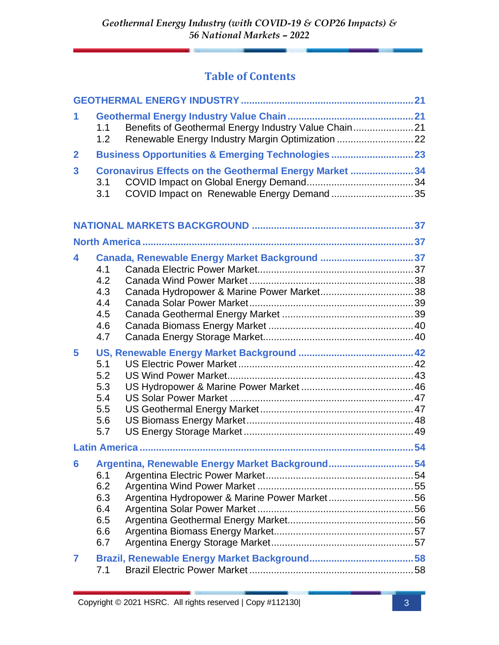## **Table of Contents**

| 1              | 1.1<br>1.2                                    | Benefits of Geothermal Energy Industry Value Chain21<br>Renewable Energy Industry Margin Optimization 22 |  |
|----------------|-----------------------------------------------|----------------------------------------------------------------------------------------------------------|--|
| $\mathbf{2}$   |                                               | <b>Business Opportunities &amp; Emerging Technologies  23</b>                                            |  |
| 3              | 3.1<br>3.1                                    | Coronavirus Effects on the Geothermal Energy Market 34<br>COVID Impact on Renewable Energy Demand 35     |  |
|                |                                               |                                                                                                          |  |
|                |                                               |                                                                                                          |  |
| 4              | 4.1<br>4.2<br>4.3<br>4.4<br>4.5<br>4.6<br>4.7 | Canada, Renewable Energy Market Background 37                                                            |  |
| 5              | 5.1<br>5.2<br>5.3<br>5.4<br>5.5<br>5.6<br>5.7 |                                                                                                          |  |
|                |                                               |                                                                                                          |  |
| 6              | 6.1<br>6.2<br>6.3<br>6.4<br>6.5<br>6.6<br>6.7 | Argentina, Renewable Energy Market Background54<br>Argentina Hydropower & Marine Power Market56          |  |
| $\overline{7}$ | 7.1                                           |                                                                                                          |  |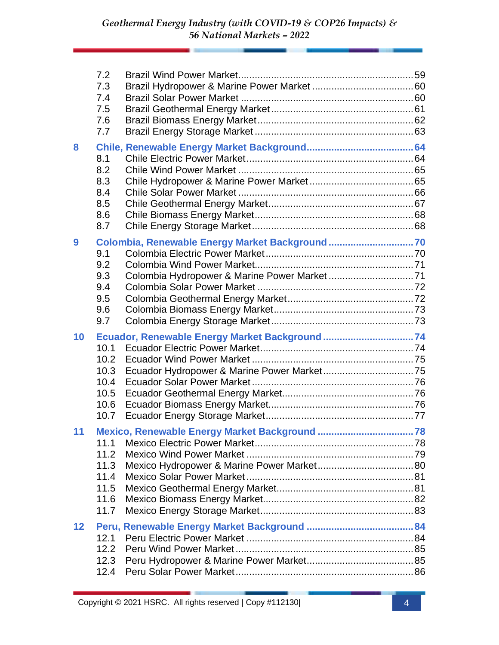|    | 7.2<br>7.3<br>7.4<br>7.5<br>7.6<br>7.7               |                                                |  |
|----|------------------------------------------------------|------------------------------------------------|--|
| 8  | 8.1<br>8.2<br>8.3<br>8.4<br>8.5<br>8.6<br>8.7        |                                                |  |
| 9  | 9.1<br>9.2<br>9.3<br>9.4<br>9.5<br>9.6<br>9.7        |                                                |  |
| 10 | 10.1<br>10.2<br>10.3<br>10.4<br>10.5<br>10.6<br>10.7 | Ecuador, Renewable Energy Market Background 74 |  |
| 11 | 11.1<br>11.2<br>11.3<br>11.4<br>11.5<br>11.6<br>11.7 |                                                |  |
| 12 | 12.1<br>12.2<br>12.3<br>12.4                         |                                                |  |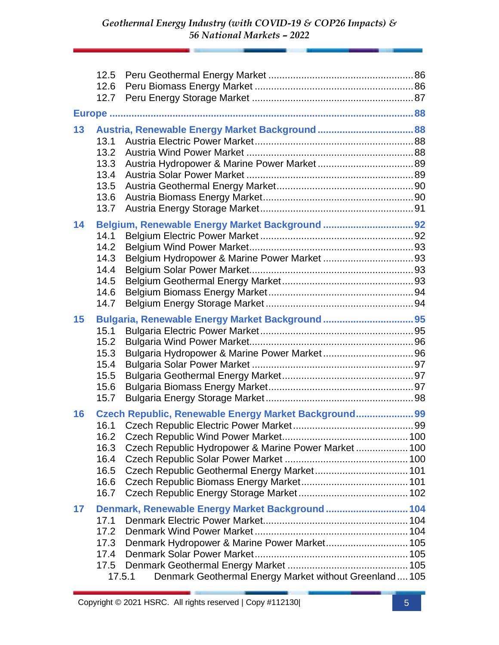|    | 12.6<br>12.7                                         |                                                                                                                                                              |  |
|----|------------------------------------------------------|--------------------------------------------------------------------------------------------------------------------------------------------------------------|--|
|    |                                                      |                                                                                                                                                              |  |
| 13 | 13.1<br>13.2<br>13.3<br>13.4<br>13.5<br>13.6<br>13.7 |                                                                                                                                                              |  |
| 14 | 14.1<br>14.2<br>14.3<br>14.4<br>14.5<br>14.6<br>14.7 |                                                                                                                                                              |  |
| 15 | 15.1<br>15.2<br>15.3<br>15.4<br>15.5<br>15.6<br>15.7 |                                                                                                                                                              |  |
| 16 | 16.2<br>16.3<br>16.4<br>16.5<br>16.6<br>16.7         | Czech Republic, Renewable Energy Market Background 99<br>Czech Republic Hydropower & Marine Power Market  100<br>Czech Republic Geothermal Energy Market 101 |  |
| 17 | 17.1<br>17.2<br>17.3<br>17.4<br>17.5<br>17.5.1       | Denmark, Renewable Energy Market Background  104<br>Denmark Hydropower & Marine Power Market 105<br>Denmark Geothermal Energy Market without Greenland 105   |  |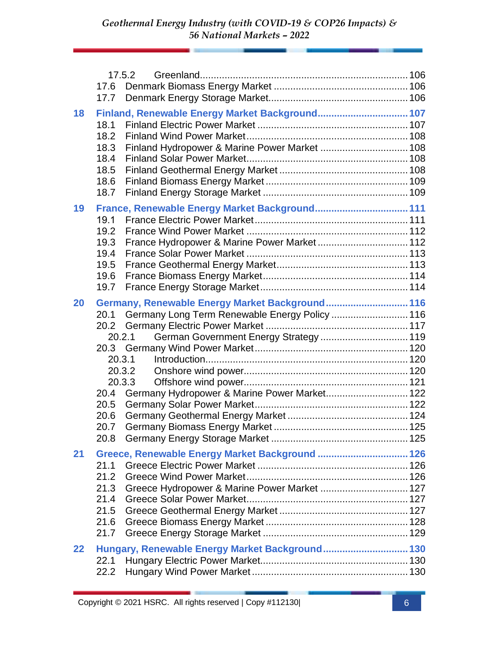|    | 17.6<br>17.7                                         | 17.5.2                                                                                                                                                                                                                                   |  |
|----|------------------------------------------------------|------------------------------------------------------------------------------------------------------------------------------------------------------------------------------------------------------------------------------------------|--|
| 18 | 18.1<br>18.2<br>18.3<br>18.4<br>18.5<br>18.6<br>18.7 | Finland, Renewable Energy Market Background 107<br>Finland Hydropower & Marine Power Market  108                                                                                                                                         |  |
| 19 | 19.1<br>19.2<br>19.3<br>19.4<br>19.5<br>19.6<br>19.7 | France, Renewable Energy Market Background 111<br>France Hydropower & Marine Power Market 112                                                                                                                                            |  |
| 20 | 20.4<br>20.5<br>20.6<br>20.7<br>20.8                 | Germany, Renewable Energy Market Background 116<br>20.1 Germany Long Term Renewable Energy Policy  116<br>German Government Energy Strategy  119<br>20.2.1<br>20.3.1<br>20.3.2<br>20.3.3<br>Germany Hydropower & Marine Power Market 122 |  |
| 21 | 21.1<br>21.2<br>21.3<br>21.4<br>21.5<br>21.6<br>21.7 | Greece, Renewable Energy Market Background  126<br>Greece Hydropower & Marine Power Market  127                                                                                                                                          |  |
| 22 | 22.1<br>22.2                                         | Hungary, Renewable Energy Market Background 130                                                                                                                                                                                          |  |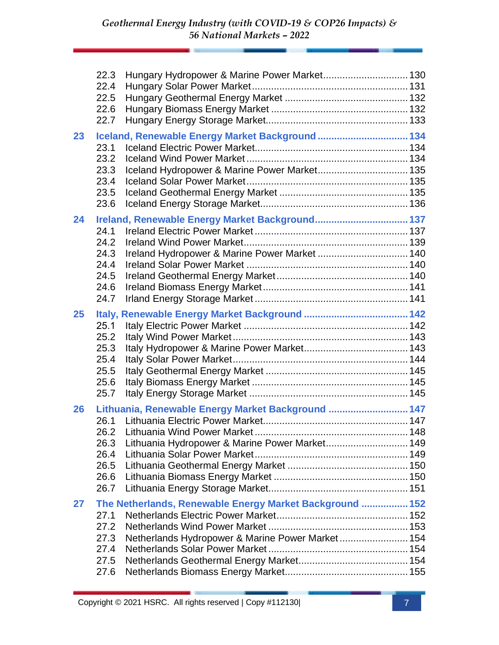|    | 22.3<br>22.4<br>22.5<br>22.6<br>22.7                 | Hungary Hydropower & Marine Power Market 130                                                                 |  |
|----|------------------------------------------------------|--------------------------------------------------------------------------------------------------------------|--|
| 23 | 23.1<br>23.2<br>23.3<br>23.4<br>23.5<br>23.6         | Iceland, Renewable Energy Market Background  134                                                             |  |
| 24 | 24.1<br>24.2<br>24.3<br>24.4<br>24.5<br>24.6<br>24.7 | Ireland, Renewable Energy Market Background 137<br>Ireland Hydropower & Marine Power Market  140             |  |
| 25 | 25.1<br>25.2<br>25.3<br>25.4<br>25.5<br>25.6<br>25.7 |                                                                                                              |  |
| 26 | 26.1<br>26.3<br>26.4<br>26.5<br>26.6<br>26.7         | Lithuania, Renewable Energy Market Background  147<br>Lithuania Hydropower & Marine Power Market 149         |  |
| 27 | 27.1<br>27.2<br>27.3<br>27.4<br>27.5<br>27.6         | The Netherlands, Renewable Energy Market Background  152<br>Netherlands Hydropower & Marine Power Market 154 |  |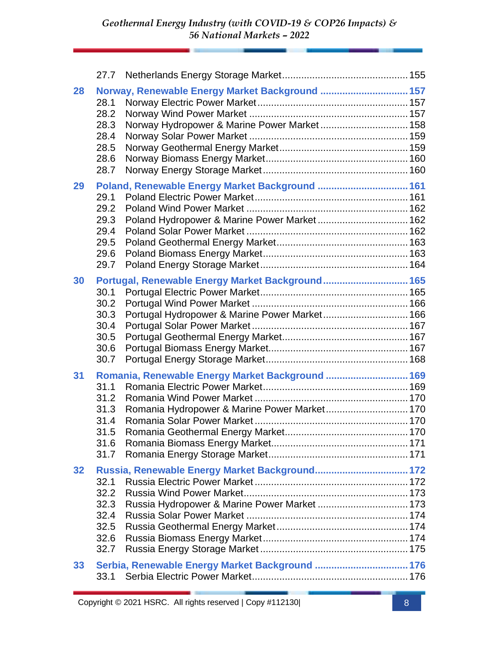| 28              | 28.1<br>28.2<br>28.3<br>28.4<br>28.5<br>28.6<br>28.7 | Norway, Renewable Energy Market Background  157<br>Norway Hydropower & Marine Power Market 158    |  |
|-----------------|------------------------------------------------------|---------------------------------------------------------------------------------------------------|--|
| 29              | 29.1<br>29.2<br>29.3<br>29.4<br>29.5<br>29.6<br>29.7 | Poland, Renewable Energy Market Background  161<br>Poland Hydropower & Marine Power Market 162    |  |
| 30              | 30.1<br>30.2<br>30.3<br>30.4<br>30.5<br>30.6<br>30.7 | Portugal, Renewable Energy Market Background 165<br>Portugal Hydropower & Marine Power Market 166 |  |
| 31              | 31.1<br>31.2<br>31.3<br>31.4<br>31.5<br>31.6<br>31.7 | Romania, Renewable Energy Market Background  169<br>Romania Hydropower & Marine Power Market 170  |  |
| 32 <sub>2</sub> | 32.1<br>32.2<br>32.3<br>32.4<br>32.5<br>32.6<br>32.7 | Russia, Renewable Energy Market Background 172<br>Russia Hydropower & Marine Power Market  173    |  |
| 33              | 33.1                                                 |                                                                                                   |  |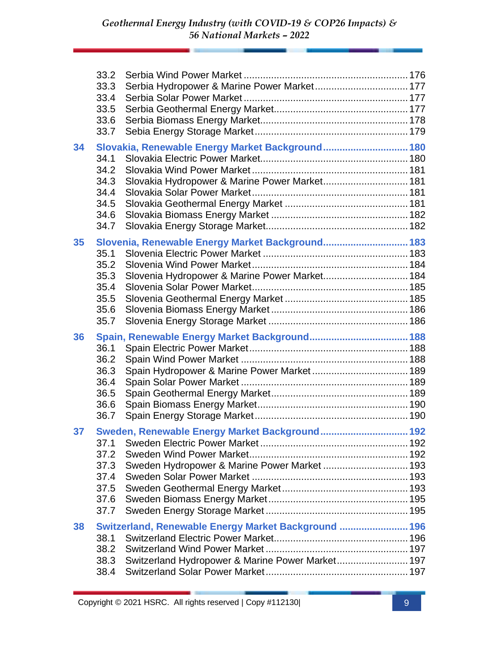|                 | 33.2<br>33.3<br>33.4<br>33.5<br>33.6<br>33.7         |                                                                                                          |  |
|-----------------|------------------------------------------------------|----------------------------------------------------------------------------------------------------------|--|
| 34              | 34.1<br>34.2<br>34.3<br>34.4<br>34.5<br>34.6<br>34.7 | Slovakia, Renewable Energy Market Background 180<br>Slovakia Hydropower & Marine Power Market 181        |  |
| 35              | 35.1<br>35.2<br>35.3<br>35.4<br>35.5<br>35.6<br>35.7 | Slovenia, Renewable Energy Market Background 183<br>Slovenia Hydropower & Marine Power Market 184        |  |
| 36              | 36.1<br>36.2<br>36.3<br>36.4<br>36.5<br>36.6<br>36.7 |                                                                                                          |  |
| 37 <sub>2</sub> | 37.1<br>37.2<br>37.3<br>37.4<br>37.5<br>37.6<br>37.7 | Sweden, Renewable Energy Market Background 192<br>Sweden Hydropower & Marine Power Market  193           |  |
| 38              | 38.1<br>38.2<br>38.3<br>38.4                         | Switzerland, Renewable Energy Market Background  196<br>Switzerland Hydropower & Marine Power Market 197 |  |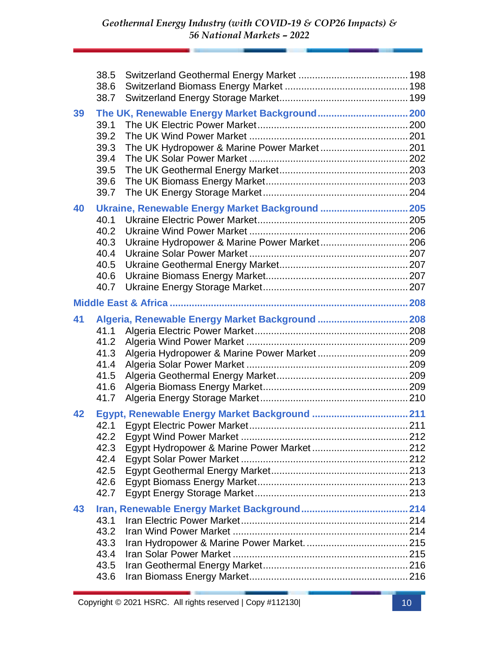|    | 38.5<br>38.6<br>38.7                                 |                                                                                               |  |
|----|------------------------------------------------------|-----------------------------------------------------------------------------------------------|--|
| 39 | 39.1<br>39.2<br>39.3<br>39.4<br>39.5<br>39.6<br>39.7 | The UK, Renewable Energy Market Background 200<br>The UK Hydropower & Marine Power Market 201 |  |
| 40 | 40.1<br>40.2<br>40.3<br>40.4<br>40.5<br>40.6<br>40.7 | Ukraine, Renewable Energy Market Background  205                                              |  |
|    |                                                      |                                                                                               |  |
| 41 | 41.1<br>41.2<br>41.3<br>41.4<br>41.5<br>41.6<br>41.7 | Algeria, Renewable Energy Market Background  208                                              |  |
| 42 | 42.2<br>42.3<br>42.4<br>42.5<br>42.6<br>42.7         |                                                                                               |  |
| 43 | 43.1<br>43.2<br>43.3<br>43.4<br>43.5<br>43.6         |                                                                                               |  |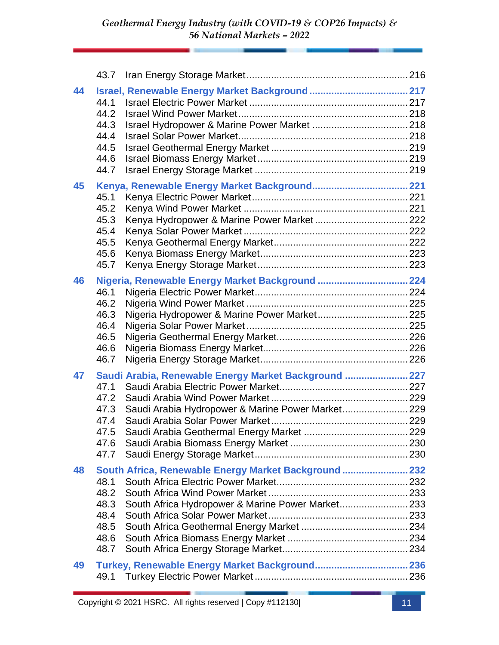| 44 | 44.1<br>44.2<br>44.3<br>44.4<br>44.5<br>44.6<br>44.7 |                                                                                                           |  |
|----|------------------------------------------------------|-----------------------------------------------------------------------------------------------------------|--|
| 45 | 45.1<br>45.2<br>45.3<br>45.4<br>45.5<br>45.6<br>45.7 |                                                                                                           |  |
| 46 | 46.1<br>46.2<br>46.3<br>46.4<br>46.5<br>46.6<br>46.7 | Nigeria, Renewable Energy Market Background  224                                                          |  |
| 47 | 47.1<br>47.2<br>47.3<br>47.4<br>47.5<br>47.6<br>47.7 | Saudi Arabia, Renewable Energy Market Background  227<br>Saudi Arabia Hydropower & Marine Power Market229 |  |
| 48 | 48.1<br>48.2<br>48.3<br>48.4<br>48.5<br>48.6<br>48.7 | South Africa, Renewable Energy Market Background  232<br>South Africa Hydropower & Marine Power Market233 |  |
| 49 |                                                      |                                                                                                           |  |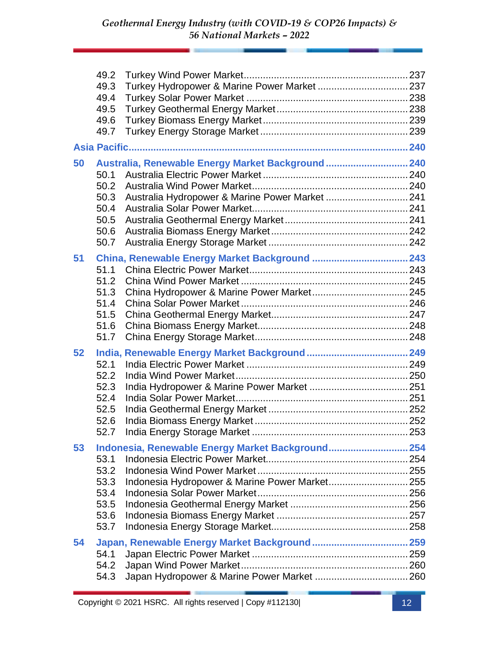|    | 49.2<br>49.3<br>49.4<br>49.5<br>49.6<br>49.7         |                                                                                                       |  |
|----|------------------------------------------------------|-------------------------------------------------------------------------------------------------------|--|
|    |                                                      |                                                                                                       |  |
| 50 | 50.1<br>50.2<br>50.3<br>50.4<br>50.5<br>50.6<br>50.7 | Australia, Renewable Energy Market Background  240<br>Australia Hydropower & Marine Power Market  241 |  |
| 51 | 51.1<br>51.2<br>51.3<br>51.4<br>51.5<br>51.6<br>51.7 |                                                                                                       |  |
| 52 | 52.1<br>52.2<br>52.3<br>52.4<br>52.5<br>52.6<br>52.7 |                                                                                                       |  |
| 53 | 53.1<br>53.2<br>53.3<br>53.4<br>53.5<br>53.6<br>53.7 | Indonesia, Renewable Energy Market Background 254<br>Indonesia Hydropower & Marine Power Market 255   |  |
| 54 | 54.1<br>54.2<br>54.3                                 | Japan, Renewable Energy Market Background 259                                                         |  |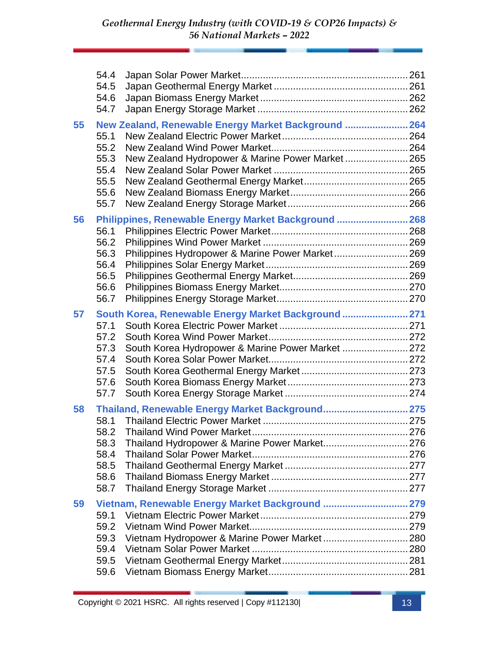|    | 54.4<br>54.5<br>54.6<br>54.7                         |                                                                                                           |  |
|----|------------------------------------------------------|-----------------------------------------------------------------------------------------------------------|--|
| 55 | 55.1<br>55.2<br>55.3<br>55.4<br>55.5<br>55.6<br>55.7 | New Zealand, Renewable Energy Market Background  264<br>New Zealand Hydropower & Marine Power Market 265  |  |
| 56 | 56.1<br>56.2<br>56.3<br>56.4<br>56.5<br>56.6<br>56.7 | Philippines, Renewable Energy Market Background  268<br>Philippines Hydropower & Marine Power Market 269  |  |
| 57 | 57.1<br>57.2<br>57.3<br>57.4<br>57.5<br>57.6<br>57.7 | South Korea, Renewable Energy Market Background  271<br>South Korea Hydropower & Marine Power Market  272 |  |
| 58 | 58.1<br>58.3<br>58.4<br>58.5<br>58.6<br>58.7         | Thailand, Renewable Energy Market Background 275<br>Thailand Hydropower & Marine Power Market 276         |  |
| 59 | 59.1<br>59.2<br>59.3<br>59.4<br>59.5<br>59.6         | Vietnam, Renewable Energy Market Background  279<br>Vietnam Hydropower & Marine Power Market 280          |  |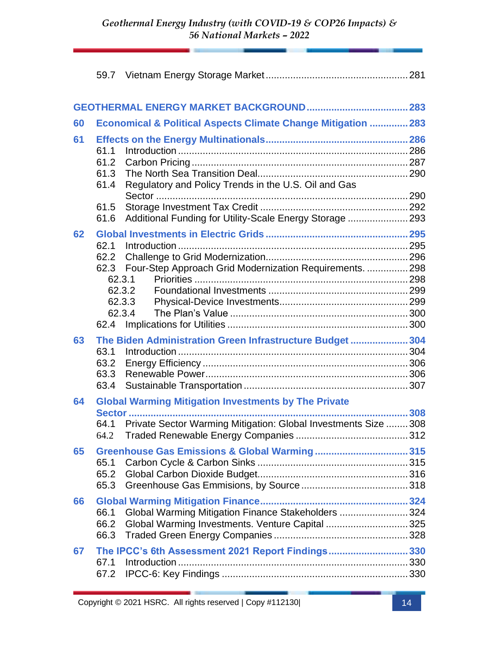| 60 |                      | Economical & Political Aspects Climate Change Mitigation  283   |  |
|----|----------------------|-----------------------------------------------------------------|--|
| 61 | 61.1                 |                                                                 |  |
|    | 61.2<br>61.3<br>61.4 | Regulatory and Policy Trends in the U.S. Oil and Gas            |  |
|    | 61.5                 |                                                                 |  |
|    | 61.6                 | Additional Funding for Utility-Scale Energy Storage  293        |  |
| 62 | 62.1                 |                                                                 |  |
|    | 62.2                 |                                                                 |  |
|    | 62.3                 | Four-Step Approach Grid Modernization Requirements.  298        |  |
|    |                      | 62.3.1                                                          |  |
|    |                      | 62.3.2<br>62.3.3                                                |  |
|    |                      | 62.3.4                                                          |  |
|    | 62.4                 |                                                                 |  |
| 63 |                      | The Biden Administration Green Infrastructure Budget  304       |  |
|    | 63.1                 |                                                                 |  |
|    | 63.2<br>63.3         |                                                                 |  |
|    | 63.4                 |                                                                 |  |
| 64 |                      | <b>Global Warming Mitigation Investments by The Private</b>     |  |
|    |                      | <b>Sector </b>                                                  |  |
|    | 64.1                 | Private Sector Warming Mitigation: Global Investments Size  308 |  |
|    | 64.2                 |                                                                 |  |
| 65 |                      |                                                                 |  |
|    | 65.1<br>65.2         |                                                                 |  |
|    | 65.3                 |                                                                 |  |
| 66 |                      |                                                                 |  |
|    | 66.1                 | Global Warming Mitigation Finance Stakeholders  324             |  |
|    | 66.2                 | Global Warming Investments. Venture Capital 325                 |  |
|    | 66.3                 |                                                                 |  |
| 67 |                      | The IPCC's 6th Assessment 2021 Report Findings330               |  |
|    | 67.1                 |                                                                 |  |
|    | 67.2                 |                                                                 |  |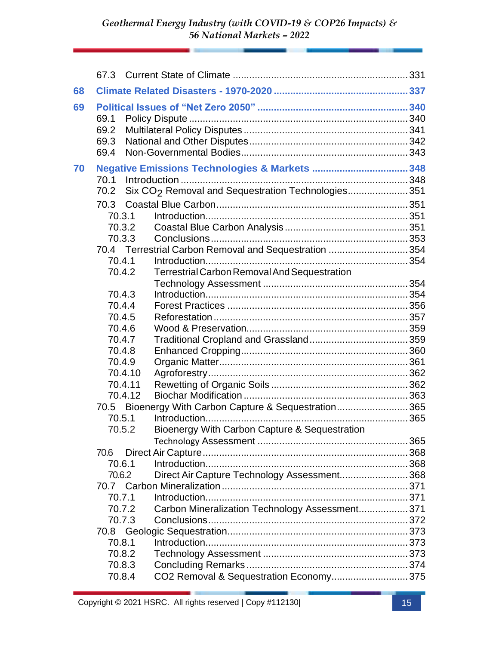| 68 |                              |         |                                                                |  |
|----|------------------------------|---------|----------------------------------------------------------------|--|
| 69 | 69.1<br>69.2<br>69.3<br>69.4 |         |                                                                |  |
| 70 |                              |         |                                                                |  |
|    | 70.1                         |         |                                                                |  |
|    | 70.2                         |         | Six CO <sub>2</sub> Removal and Sequestration Technologies 351 |  |
|    | 70.3                         |         |                                                                |  |
|    | 70.3.1                       |         |                                                                |  |
|    | 70.3.2                       |         |                                                                |  |
|    | 70.3.3                       |         |                                                                |  |
|    |                              |         | 70.4 Terrestrial Carbon Removal and Sequestration 354          |  |
|    | 70.4.1                       |         |                                                                |  |
|    | 70.4.2                       |         | Terrestrial Carbon Removal And Sequestration                   |  |
|    |                              |         |                                                                |  |
|    | 70.4.3                       |         |                                                                |  |
|    | 70.4.4                       |         |                                                                |  |
|    | 70.4.5                       |         |                                                                |  |
|    | 70.4.6                       |         |                                                                |  |
|    | 70.4.7                       |         |                                                                |  |
|    | 70.4.8                       |         |                                                                |  |
|    | 70.4.9                       |         |                                                                |  |
|    |                              | 70.4.10 |                                                                |  |
|    |                              | 70.4.11 |                                                                |  |
|    | 70.4.12                      |         |                                                                |  |
|    | 70.5.1                       |         | 70.5 Bioenergy With Carbon Capture & Sequestration365          |  |
|    | 70.5.2                       |         | Bioenergy With Carbon Capture & Sequestration                  |  |
|    |                              |         |                                                                |  |
|    | 70.6                         |         |                                                                |  |
|    | 70.6.1                       |         |                                                                |  |
|    | 70.6.2                       |         | Direct Air Capture Technology Assessment 368                   |  |
|    |                              |         |                                                                |  |
|    | 70.7.1                       |         |                                                                |  |
|    | 70.7.2                       |         | Carbon Mineralization Technology Assessment 371                |  |
|    | 70.7.3                       |         |                                                                |  |
|    | 70.8                         |         |                                                                |  |
|    | 70.8.1                       |         |                                                                |  |
|    | 70.8.2                       |         |                                                                |  |
|    | 70.8.3                       |         |                                                                |  |
|    | 70.8.4                       |         | CO2 Removal & Sequestration Economy375                         |  |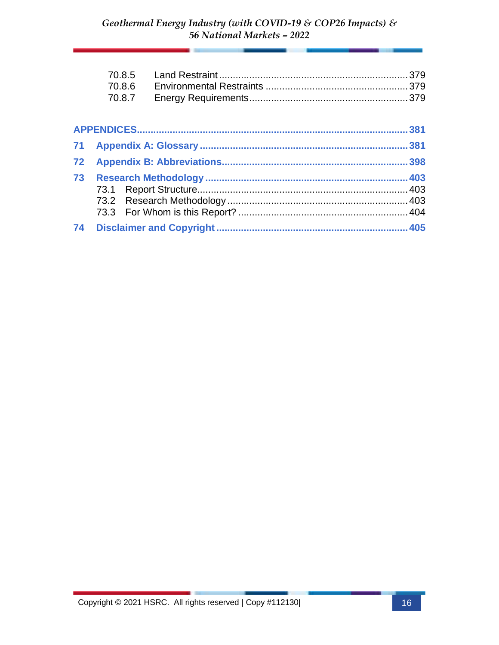|    | 70.8.5<br>70.8.6 |      |
|----|------------------|------|
|    | 70.8.7           |      |
|    |                  | .381 |
| 71 |                  |      |
| 72 |                  |      |
| 73 |                  |      |
| 74 |                  |      |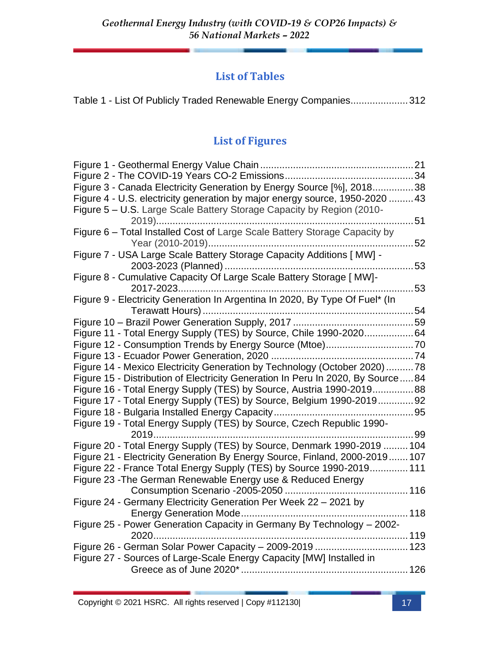### **List of Tables**

## **List of Figures**

| Figure 2 - The COVID-19 Years CO-2 Emissions                                    | .34 |
|---------------------------------------------------------------------------------|-----|
| Figure 3 - Canada Electricity Generation by Energy Source [%], 201838           |     |
| Figure 4 - U.S. electricity generation by major energy source, 1950-2020 43     |     |
| Figure 5 - U.S. Large Scale Battery Storage Capacity by Region (2010-           |     |
| 2019)                                                                           | 51  |
| Figure 6 - Total Installed Cost of Large Scale Battery Storage Capacity by      | 52  |
| Figure 7 - USA Large Scale Battery Storage Capacity Additions [ MW] -           |     |
|                                                                                 | 53  |
| Figure 8 - Cumulative Capacity Of Large Scale Battery Storage [ MW]-            |     |
| 2017-2023                                                                       | 53  |
| Figure 9 - Electricity Generation In Argentina In 2020, By Type Of Fuel* (In    |     |
|                                                                                 |     |
| Figure 11 - Total Energy Supply (TES) by Source, Chile 1990-202064              |     |
|                                                                                 |     |
|                                                                                 |     |
| Figure 14 - Mexico Electricity Generation by Technology (October 2020) 78       |     |
| Figure 15 - Distribution of Electricity Generation In Peru In 2020, By Source84 |     |
| Figure 16 - Total Energy Supply (TES) by Source, Austria 1990-201988            |     |
| Figure 17 - Total Energy Supply (TES) by Source, Belgium 1990-201992            |     |
|                                                                                 |     |
| Figure 19 - Total Energy Supply (TES) by Source, Czech Republic 1990-           |     |
| 2019                                                                            |     |
| Figure 20 - Total Energy Supply (TES) by Source, Denmark 1990-2019  104         |     |
| Figure 21 - Electricity Generation By Energy Source, Finland, 2000-2019 107     |     |
| Figure 22 - France Total Energy Supply (TES) by Source 1990-2019 111            |     |
| Figure 23 - The German Renewable Energy use & Reduced Energy                    |     |
| 116                                                                             |     |
| Figure 24 - Germany Electricity Generation Per Week 22 - 2021 by                |     |
| 118                                                                             |     |
| Figure 25 - Power Generation Capacity in Germany By Technology - 2002-          |     |
| 2020                                                                            |     |
| Figure 26 - German Solar Power Capacity - 2009-2019  123                        |     |
| Figure 27 - Sources of Large-Scale Energy Capacity [MW] Installed in            |     |
|                                                                                 |     |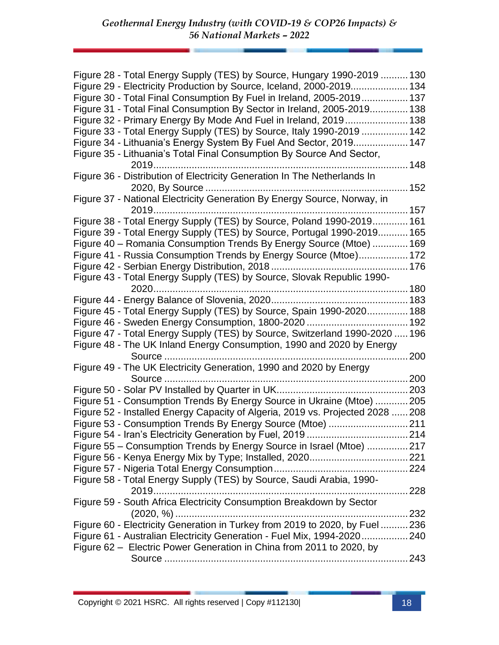| Figure 28 - Total Energy Supply (TES) by Source, Hungary 1990-2019  130        |  |
|--------------------------------------------------------------------------------|--|
| Figure 29 - Electricity Production by Source, Iceland, 2000-2019 134           |  |
| Figure 30 - Total Final Consumption By Fuel in Ireland, 2005-2019 137          |  |
| Figure 31 - Total Final Consumption By Sector in Ireland, 2005-2019 138        |  |
| Figure 32 - Primary Energy By Mode And Fuel in Ireland, 2019 138               |  |
| Figure 33 - Total Energy Supply (TES) by Source, Italy 1990-2019  142          |  |
| Figure 34 - Lithuania's Energy System By Fuel And Sector, 2019 147             |  |
| Figure 35 - Lithuania's Total Final Consumption By Source And Sector,          |  |
|                                                                                |  |
| Figure 36 - Distribution of Electricity Generation In The Netherlands In       |  |
|                                                                                |  |
| Figure 37 - National Electricity Generation By Energy Source, Norway, in       |  |
| 2019                                                                           |  |
| Figure 38 - Total Energy Supply (TES) by Source, Poland 1990-2019 161          |  |
| Figure 39 - Total Energy Supply (TES) by Source, Portugal 1990-2019 165        |  |
| Figure 40 - Romania Consumption Trends By Energy Source (Mtoe)  169            |  |
| Figure 41 - Russia Consumption Trends by Energy Source (Mtoe) 172              |  |
|                                                                                |  |
| Figure 43 - Total Energy Supply (TES) by Source, Slovak Republic 1990-         |  |
| 2020                                                                           |  |
|                                                                                |  |
| Figure 45 - Total Energy Supply (TES) by Source, Spain 1990-2020 188           |  |
|                                                                                |  |
| Figure 47 - Total Energy Supply (TES) by Source, Switzerland 1990-2020  196    |  |
| Figure 48 - The UK Inland Energy Consumption, 1990 and 2020 by Energy          |  |
| Source<br>200                                                                  |  |
| Figure 49 - The UK Electricity Generation, 1990 and 2020 by Energy             |  |
|                                                                                |  |
|                                                                                |  |
| Figure 51 - Consumption Trends By Energy Source in Ukraine (Mtoe) 205          |  |
| Figure 52 - Installed Energy Capacity of Algeria, 2019 vs. Projected 2028  208 |  |
|                                                                                |  |
|                                                                                |  |
| Figure 55 - Consumption Trends by Energy Source in Israel (Mtoe) 217           |  |
|                                                                                |  |
|                                                                                |  |
| Figure 58 - Total Energy Supply (TES) by Source, Saudi Arabia, 1990-           |  |
|                                                                                |  |
| Figure 59 - South Africa Electricity Consumption Breakdown by Sector           |  |
|                                                                                |  |
| Figure 60 - Electricity Generation in Turkey from 2019 to 2020, by Fuel  236   |  |
| Figure 61 - Australian Electricity Generation - Fuel Mix, 1994-2020240         |  |
| Figure 62 - Electric Power Generation in China from 2011 to 2020, by           |  |
|                                                                                |  |
|                                                                                |  |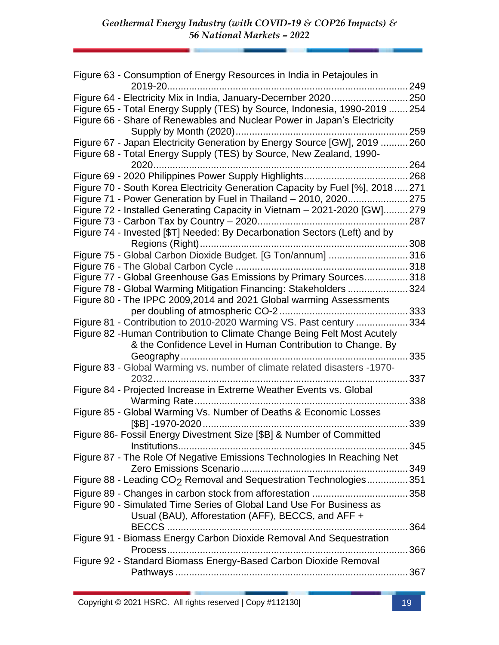| Figure 63 - Consumption of Energy Resources in India in Petajoules in          |       |
|--------------------------------------------------------------------------------|-------|
|                                                                                | .249  |
| Figure 64 - Electricity Mix in India, January-December 2020250                 |       |
| Figure 65 - Total Energy Supply (TES) by Source, Indonesia, 1990-2019  254     |       |
| Figure 66 - Share of Renewables and Nuclear Power in Japan's Electricity       |       |
|                                                                                | .259  |
| Figure 67 - Japan Electricity Generation by Energy Source [GW], 2019  260      |       |
| Figure 68 - Total Energy Supply (TES) by Source, New Zealand, 1990-            |       |
| 2020                                                                           | . 264 |
|                                                                                |       |
| Figure 70 - South Korea Electricity Generation Capacity by Fuel [%], 2018  271 |       |
| Figure 71 - Power Generation by Fuel in Thailand - 2010, 2020                  | .275  |
| Figure 72 - Installed Generating Capacity in Vietnam - 2021-2020 [GW]279       |       |
|                                                                                | . 287 |
| Figure 74 - Invested [\$T] Needed: By Decarbonation Sectors (Left) and by      |       |
|                                                                                | .308  |
| Figure 75 - Global Carbon Dioxide Budget. [G Ton/annum] 316                    |       |
|                                                                                |       |
| Figure 77 - Global Greenhouse Gas Emissions by Primary Sources 318             |       |
| Figure 78 - Global Warming Mitigation Financing: Stakeholders                  | .324  |
| Figure 80 - The IPPC 2009,2014 and 2021 Global warming Assessments             |       |
|                                                                                |       |
| Figure 81 - Contribution to 2010-2020 Warming VS. Past century 334             |       |
| Figure 82 - Human Contribution to Climate Change Being Felt Most Acutely       |       |
| & the Confidence Level in Human Contribution to Change. By                     |       |
|                                                                                | 335   |
| Figure 83 - Global Warming vs. number of climate related disasters -1970-      |       |
|                                                                                | 337   |
| Figure 84 - Projected Increase in Extreme Weather Events vs. Global            |       |
|                                                                                | 338   |
| Figure 85 - Global Warming Vs. Number of Deaths & Economic Losses              |       |
|                                                                                | 339   |
| Figure 86- Fossil Energy Divestment Size [\$B] & Number of Committed           |       |
|                                                                                | 345   |
| Figure 87 - The Role Of Negative Emissions Technologies In Reaching Net        |       |
|                                                                                |       |
|                                                                                |       |
| Figure 88 - Leading CO <sub>2</sub> Removal and Sequestration Technologies351  |       |
|                                                                                |       |
| Figure 90 - Simulated Time Series of Global Land Use For Business as           |       |
| Usual (BAU), Afforestation (AFF), BECCS, and AFF +                             |       |
|                                                                                |       |
| Figure 91 - Biomass Energy Carbon Dioxide Removal And Sequestration            |       |
|                                                                                |       |
| Figure 92 - Standard Biomass Energy-Based Carbon Dioxide Removal               |       |
|                                                                                |       |